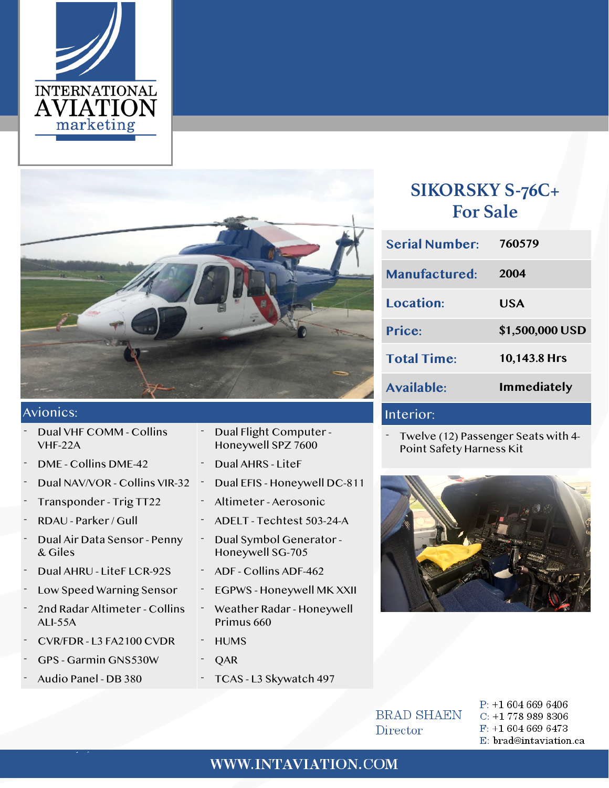



#### Avionics:

- Dual VHF COMM Collins VHF-22A
- DME Collins DME-42 Dual AHRS LiteF
- 
- 
- 
- Dual Air Data Sensor Penny & Giles
- Dual AHRU LiteF LCR-92S ADF Collins ADF-462
- Low Speed Warning Sensor EGPWS Honeywell MK XXII
- 2nd Radar Altimeter Collins ALI-55A
- CVR/FDR L3 FA2100 CVDR HUMS
- GPS Garmin GNS530W COAR
- 
- Dual Flight Computer Honeywell SPZ 7600
- 
- Dual NAV/VOR Collins VIR-32 Dual EFIS Honeywell DC-811
- Transponder Trig TT22 Altimeter Aerosonic
- RDAU Parker / Gull ADELT Techtest 503-24-A
	- Dual Symbol Generator Honeywell SG-705
	-
	-
	- Weather Radar Honeywell Primus 660
	-
	-
- Audio Panel DB 380 TCAS L3 Skywatch 497

## **SIKORSKY S-76C+ For Sale**

| <b>Serial Number:</b> | 760579             |
|-----------------------|--------------------|
| <b>Manufactured:</b>  | 2004               |
| Location:             | USA                |
| Price:                | \$1,500,000 USD    |
| <b>Total Time:</b>    | 10,143.8 Hrs       |
| Available:            | <b>Immediately</b> |
|                       |                    |

#### Interior:

Twelve (12) Passenger Seats with 4-Point Safety Harness Kit



**BRAD SHAEN** Director

 $P: +16046696406$  $C: +17789898306$  $F: +16046696473$ E: brad@intaviation.ca

#### WWW.INTAVIATION.COM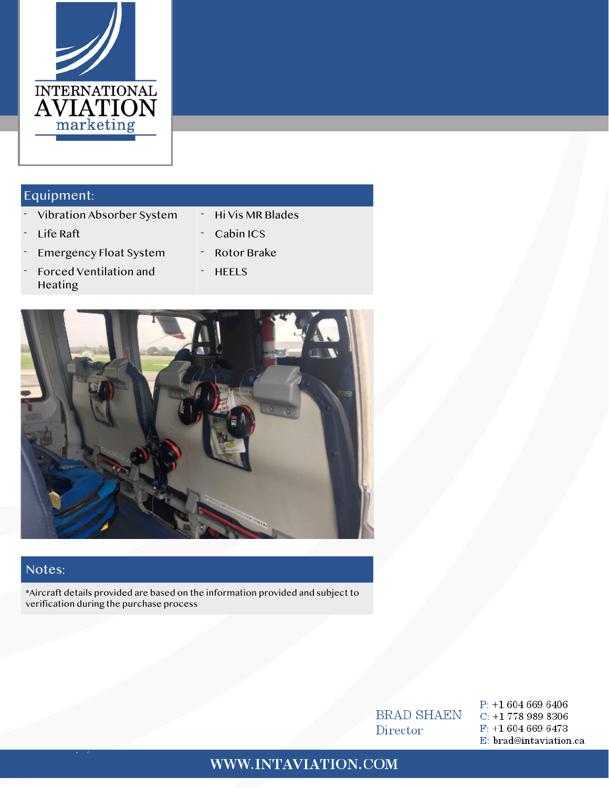

#### Equipment:

- Vibration Absorber System Hi Vis MR Blades
- 
- Life Raft **Cabin ICS**
- Emergency Float System Rotor Brake
- Forced Ventilation and Heating
- **HEELS**



#### Notes:

\*Aircraft details provided are based on the information provided and subject to verification during the purchase process

> **BRAD SHAEN** Director

 $P: +16046696406$  $C: +17789898306$  $F: +16046696473$ E: brad@intaviation.ca

### WWW.INTAVIATION.COM